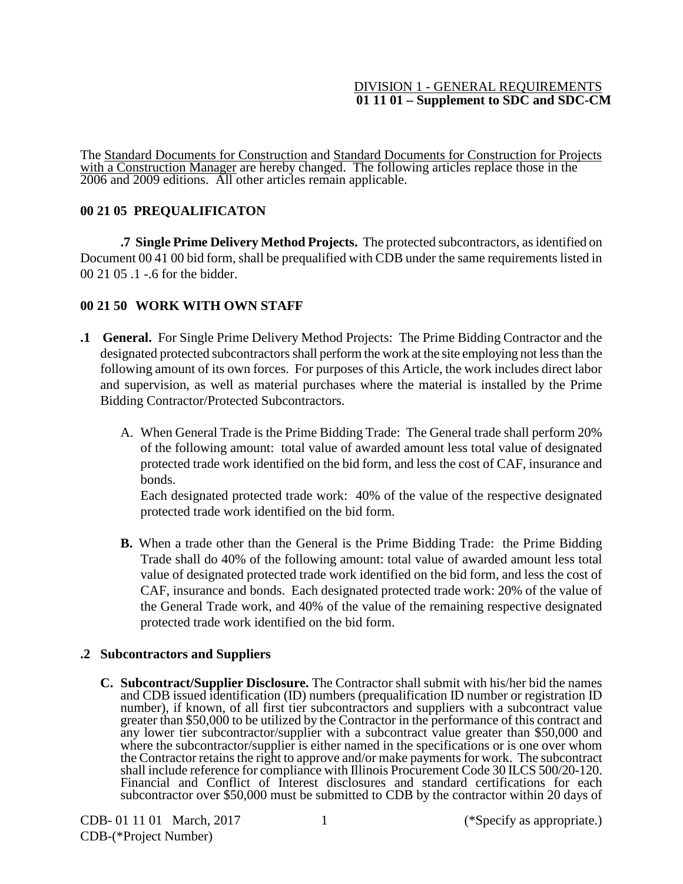### DIVISION 1 - GENERAL REQUIREMENTS **01 11 01 – Supplement to SDC and SDC-CM**

The Standard Documents for Construction and Standard Documents for Construction for Projects with a Construction Manager are hereby changed. The following articles replace those in the 2006 and 2009 editions. All other articles remain applicable.

## **00 21 05 PREQUALIFICATON**

**.7 Single Prime Delivery Method Projects.** The protected subcontractors, as identified on Document 00 41 00 bid form, shall be prequalified with CDB under the same requirements listed in 00 21 05 .1 -.6 for the bidder.

## **00 21 50 WORK WITH OWN STAFF**

- **.1 General.** For Single Prime Delivery Method Projects: The Prime Bidding Contractor and the designated protected subcontractors shall perform the work at the site employing not less than the following amount of its own forces. For purposes of this Article, the work includes direct labor and supervision, as well as material purchases where the material is installed by the Prime Bidding Contractor/Protected Subcontractors.
	- A. When General Trade is the Prime Bidding Trade: The General trade shall perform 20% of the following amount: total value of awarded amount less total value of designated protected trade work identified on the bid form, and less the cost of CAF, insurance and bonds.

Each designated protected trade work: 40% of the value of the respective designated protected trade work identified on the bid form.

**B.** When a trade other than the General is the Prime Bidding Trade: the Prime Bidding Trade shall do 40% of the following amount: total value of awarded amount less total value of designated protected trade work identified on the bid form, and less the cost of CAF, insurance and bonds. Each designated protected trade work: 20% of the value of the General Trade work, and 40% of the value of the remaining respective designated protected trade work identified on the bid form.

# **.2 Subcontractors and Suppliers**

**C. Subcontract/Supplier Disclosure.** The Contractor shall submit with his/her bid the names and CDB issued identification (ID) numbers (prequalification ID number or registration ID number), if known, of all first tier subcontractors and suppliers with a subcontract value greater than \$50,000 to be utilized by the Contractor in the performance of this contract and any lower tier subcontractor/supplier with a subcontract value greater than \$50,000 and where the subcontractor/supplier is either named in the specifications or is one over whom the Contractor retains the right to approve and/or make payments for work. The subcontract shall include reference for compliance with Illinois Procurement Code 30 ILCS 500/20-120. Financial and Conflict of Interest disclosures and standard certifications for each subcontractor over \$50,000 must be submitted to CDB by the contractor within 20 days of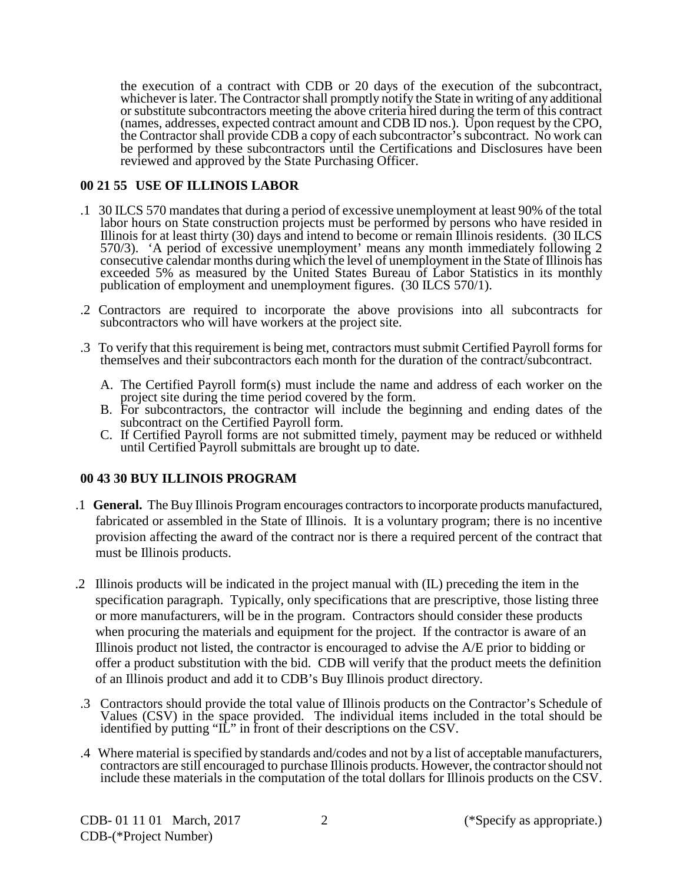the execution of a contract with CDB or 20 days of the execution of the subcontract, whichever is later. The Contractor shall promptly notify the State in writing of any additional or substitute subcontractors meeting the above criteria hired during the term of this contract (names, addresses, expected contract amount and CDB ID nos.). Upon request by the CPO, the Contractor shall provide CDB a copy of each subcontractor's subcontract. No work can be performed by these subcontractors until the Certifications and Disclosures have been reviewed and approved by the State Purchasing Officer.

### **00 21 55 USE OF ILLINOIS LABOR**

- .1 30 ILCS 570 mandates that during a period of excessive unemployment at least 90% of the total labor hours on State construction projects must be performed by persons who have resided in Illinois for at least thirty (30) days and intend to become or remain Illinois residents. (30 ILCS 570/3). 'A period of excessive unemployment' means any month immediately following 2 consecutive calendar months during which the level of unemployment in the State of Illinois has exceeded 5% as measured by the United States Bureau of Labor Statistics in its monthly publication of employment and unemployment figures. (30 ILCS 570/1).
- .2 Contractors are required to incorporate the above provisions into all subcontracts for subcontractors who will have workers at the project site.
- .3 To verify that this requirement is being met, contractors must submit Certified Payroll forms for themselves and their subcontractors each month for the duration of the contract/subcontract.
	- A. The Certified Payroll form(s) must include the name and address of each worker on the project site during the time period covered by the form.
	- B. For subcontractors, the contractor will include the beginning and ending dates of the subcontract on the Certified Payroll form.
	- C. If Certified Payroll forms are not submitted timely, payment may be reduced or withheld until Certified Payroll submittals are brought up to date.

# **00 43 30 BUY ILLINOIS PROGRAM**

- .1 **General.** The Buy Illinois Program encourages contractors to incorporate products manufactured, fabricated or assembled in the State of Illinois. It is a voluntary program; there is no incentive provision affecting the award of the contract nor is there a required percent of the contract that must be Illinois products.
- .2 Illinois products will be indicated in the project manual with (IL) preceding the item in the specification paragraph. Typically, only specifications that are prescriptive, those listing three or more manufacturers, will be in the program. Contractors should consider these products when procuring the materials and equipment for the project. If the contractor is aware of an Illinois product not listed, the contractor is encouraged to advise the A/E prior to bidding or offer a product substitution with the bid. CDB will verify that the product meets the definition of an Illinois product and add it to CDB's Buy Illinois product directory.
- .3 Contractors should provide the total value of Illinois products on the Contractor's Schedule of Values (CSV) in the space provided. The individual items included in the total should be identified by putting "IL" in front of their descriptions on the CSV.
- .4 Where material is specified by standards and/codes and not by a list of acceptable manufacturers, contractors are still encouraged to purchase Illinois products. However, the contractor should not include these materials in the computation of the total dollars for Illinois products on the CSV.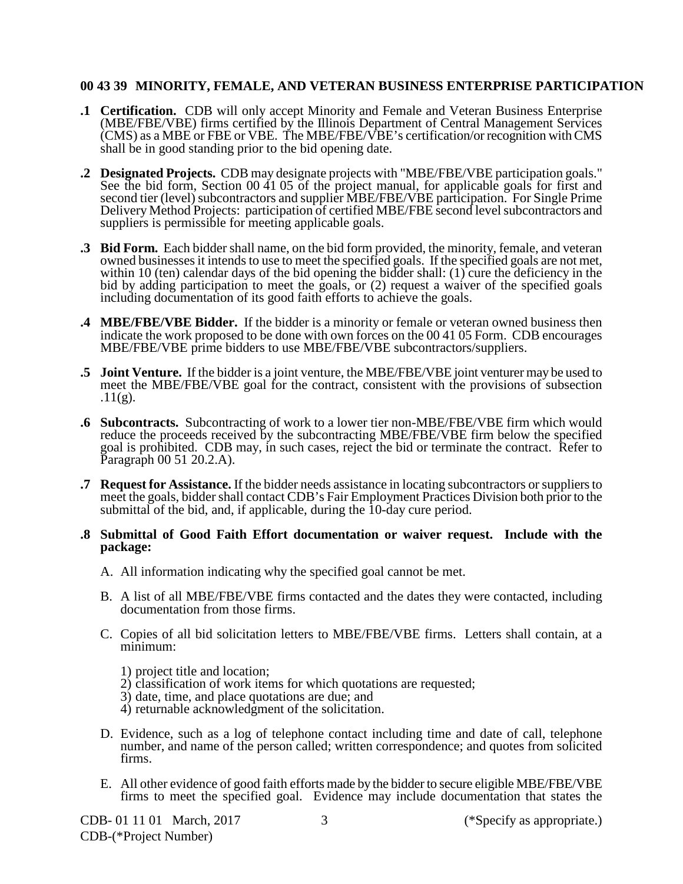#### **00 43 39 MINORITY, FEMALE, AND VETERAN BUSINESS ENTERPRISE PARTICIPATION**

- **.1 Certification.** CDB will only accept Minority and Female and Veteran Business Enterprise (MBE/FBE/VBE) firms certified by the Illinois Department of Central Management Services (CMS) as a MBE or FBE or VBE. The MBE/FBE/VBE's certification/or recognition with CMS shall be in good standing prior to the bid opening date.
- **.2 Designated Projects.** CDB may designate projects with "MBE/FBE/VBE participation goals." See the bid form, Section 00 41 05 of the project manual, for applicable goals for first and second tier (level) subcontractors and supplier MBE/FBE/VBE participation. For Single Prime Delivery Method Projects: participation of certified MBE/FBE second level subcontractors and suppliers is permissible for meeting applicable goals.
- **.3 Bid Form.** Each bidder shall name, on the bid form provided, the minority, female, and veteran owned businesses it intends to use to meet the specified goals. If the specified goals are not met, within 10 (ten) calendar days of the bid opening the bidder shall:  $(1)$  cure the deficiency in the bid by adding participation to meet the goals, or (2) request a waiver of the specified goals including documentation of its good faith efforts to achieve the goals.
- **.4 MBE/FBE/VBE Bidder.** If the bidder is a minority or female or veteran owned business then indicate the work proposed to be done with own forces on the 00 41 05 Form. CDB encourages MBE/FBE/VBE prime bidders to use MBE/FBE/VBE subcontractors/suppliers.
- **.5 Joint Venture.** If the bidder is a joint venture, the MBE/FBE/VBE joint venturer may be used to meet the MBE/FBE/VBE goal for the contract, consistent with the provisions of subsection  $.11(g).$
- **.6 Subcontracts.** Subcontracting of work to a lower tier non-MBE/FBE/VBE firm which would reduce the proceeds received by the subcontracting MBE/FBE/VBE firm below the specified goal is prohibited. CDB may, in such cases, reject the bid or terminate the contract. Refer to Paragraph 00 51 20.2.A).
- **.7 Request for Assistance.** If the bidder needs assistance in locating subcontractors or suppliers to meet the goals, bidder shall contact CDB's Fair Employment Practices Division both prior to the submittal of the bid, and, if applicable, during the 10-day cure period.
- **.8 Submittal of Good Faith Effort documentation or waiver request. Include with the package:**
	- A. All information indicating why the specified goal cannot be met.
	- B. A list of all MBE/FBE/VBE firms contacted and the dates they were contacted, including documentation from those firms.
	- C. Copies of all bid solicitation letters to MBE/FBE/VBE firms. Letters shall contain, at a minimum:
		- 1) project title and location;
		- 2) classification of work items for which quotations are requested;
		- 3) date, time, and place quotations are due; and
		- 4) returnable acknowledgment of the solicitation.
	- D. Evidence, such as a log of telephone contact including time and date of call, telephone number, and name of the person called; written correspondence; and quotes from solicited firms.
	- E. All other evidence of good faith efforts made by the bidder to secure eligible MBE/FBE/VBE firms to meet the specified goal. Evidence may include documentation that states the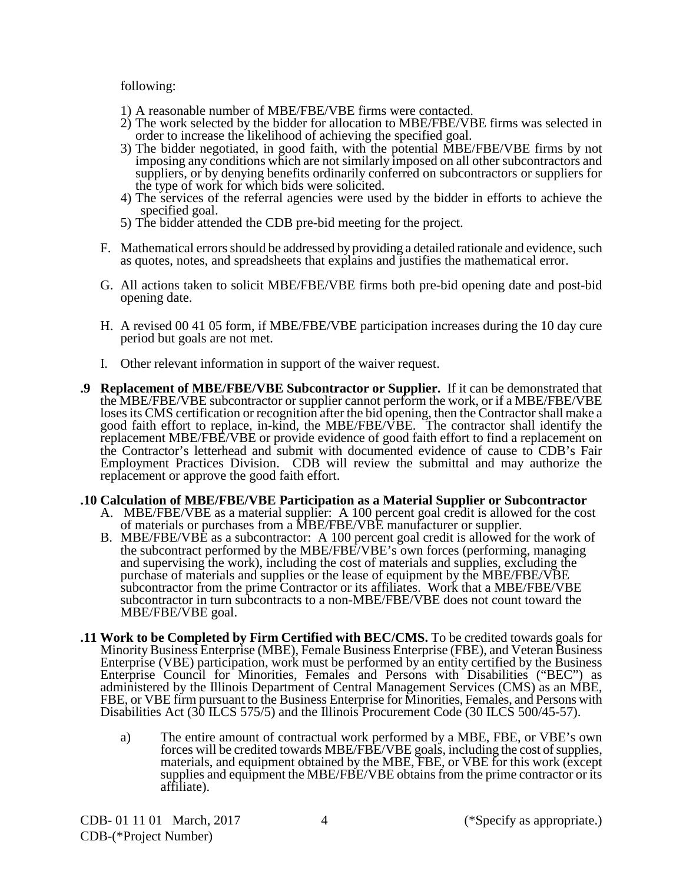following:

- 1) A reasonable number of MBE/FBE/VBE firms were contacted.
- 2) The work selected by the bidder for allocation to MBE/FBE/VBE firms was selected in order to increase the likelihood of achieving the specified goal.
- 3) The bidder negotiated, in good faith, with the potential MBE/FBE/VBE firms by not imposing any conditions which are not similarly imposed on all other subcontractors and suppliers, or by denying benefits ordinarily conferred on subcontractors or suppliers for the type of work for which bids were solicited.
- 4) The services of the referral agencies were used by the bidder in efforts to achieve the specified goal.
- 5) The bidder attended the CDB pre-bid meeting for the project.
- F. Mathematical errors should be addressed by providing a detailed rationale and evidence, such as quotes, notes, and spreadsheets that explains and justifies the mathematical error.
- G. All actions taken to solicit MBE/FBE/VBE firms both pre-bid opening date and post-bid opening date.
- H. A revised 00 41 05 form, if MBE/FBE/VBE participation increases during the 10 day cure period but goals are not met.
- I. Other relevant information in support of the waiver request.
- **.9 Replacement of MBE/FBE/VBE Subcontractor or Supplier.** If it can be demonstrated that the MBE/FBE/VBE subcontractor or supplier cannot perform the work, or if a MBE/FBE/VBE loses its CMS certification or recognition after the bid opening, then the Contractor shall make a good faith effort to replace, in-kind, the MBE/FBE/VBE. The contractor shall identify the replacement MBE/FBE/VBE or provide evidence of good faith effort to find a replacement on the Contractor's letterhead and submit with documented evidence of cause to CDB's Fair Employment Practices Division. CDB will review the submittal and may authorize the replacement or approve the good faith effort.

#### **.10 Calculation of MBE/FBE/VBE Participation as a Material Supplier or Subcontractor**

- A. MBE/FBE/VBE as a material supplier: A 100 percent goal credit is allowed for the cost
- of materials or purchases from a MBE/FBE/VBE manufacturer or supplier. B. MBE/FBE/VBE as a subcontractor: A 100 percent goal credit is allowed for the work of the subcontract performed by the MBE/FBE/VBE's own forces (performing, managing and supervising the work), including the cost of materials and supplies, excluding the purchase of materials and supplies or the lease of equipment by the MBE/FBE/VBE subcontractor from the prime Contractor or its affiliates. Work that a MBE/FBE/VBE subcontractor in turn subcontracts to a non-MBE/FBE/VBE does not count toward the MBE/FBE/VBE goal.
- **.11 Work to be Completed by Firm Certified with BEC/CMS.** To be credited towards goals for Minority Business Enterprise (MBE), Female Business Enterprise (FBE), and Veteran Business Enterprise (VBE) participation, work must be performed by an entity certified by the Business Enterprise Council for Minorities, Females and Persons with Disabilities ("BEC") as administered by the Illinois Department of Central Management Services (CMS) as an MBE, FBE, or VBE firm pursuant to the Business Enterprise for Minorities, Females, and Persons with Disabilities Act (30 ILCS 575/5) and the Illinois Procurement Code (30 ILCS 500/45-57).
	- a) The entire amount of contractual work performed by a MBE, FBE, or VBE's own forces will be credited towards MBE/FBE/VBE goals, including the cost of supplies, materials, and equipment obtained by the MBE, FBE, or VBE for this work (except supplies and equipment the MBE/FBE/VBE obtains from the prime contractor or its affiliate).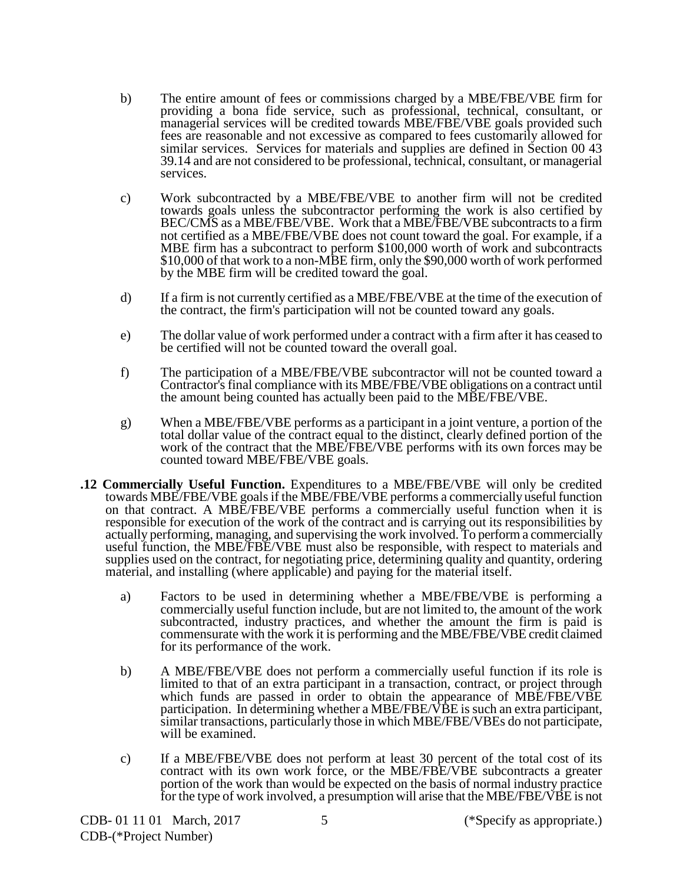- b) The entire amount of fees or commissions charged by a MBE/FBE/VBE firm for providing a bona fide service, such as professional, technical, consultant, or managerial services will be credited towards MBE/FBE/VBE goals provided such fees are reasonable and not excessive as compared to fees customarily allowed for similar services. Services for materials and supplies are defined in Section 00 43 39.14 and are not considered to be professional, technical, consultant, or managerial services.
- c) Work subcontracted by a MBE/FBE/VBE to another firm will not be credited towards goals unless the subcontractor performing the work is also certified by BEC/CMS as a MBE/FBE/VBE. Work that a MBE/FBE/VBE subcontracts to a firm not certified as a MBE/FBE/VBE does not count toward the goal. For example, if a<br>MBE firm has a subcontract to perform \$100,000 worth of work and subcontracts  $$10,000$  of that work to a non-MBE firm, only the  $$90,000$  worth of work performed by the MBE firm will be credited toward the goal.
- d) If a firm is not currently certified as a MBE/FBE/VBE at the time of the execution of the contract, the firm's participation will not be counted toward any goals.
- e) The dollar value of work performed under a contract with a firm after it has ceased to be certified will not be counted toward the overall goal.
- f) The participation of a MBE/FBE/VBE subcontractor will not be counted toward a Contractor's final compliance with its MBE/FBE/VBE obligations on a contract until the amount being counted has actually been paid to the MBE/FBE/VBE.
- g) When a MBE/FBE/VBE performs as a participant in a joint venture, a portion of the total dollar value of the contract equal to the distinct, clearly defined portion of the work of the contract that the MBE/FBE/VBE performs with its own forces may be counted toward MBE/FBE/VBE goals.
- **.12 Commercially Useful Function.** Expenditures to a MBE/FBE/VBE will only be credited towards MBE/FBE/VBE goals if the MBE/FBE/VBE performs a commercially useful function on that contract. A MBE/FBE/VBE performs a commercially useful function when it is responsible for execution of the work of the contract and is carrying out its responsibilities by actually performing, managing, and supervising the work involved. To perform a commercially useful function, the MBE/FBE/VBE must also be responsible, with respect to materials and supplies used on the contract, for negotiating price, determining quality and quantity, ordering material, and installing (where applicable) and paying for the material itself.
	- a) Factors to be used in determining whether a MBE/FBE/VBE is performing a commercially useful function include, but are not limited to, the amount of the work subcontracted, industry practices, and whether the amount the firm is paid is commensurate with the work it is performing and the MBE/FBE/VBE credit claimed for its performance of the work.
	- b) A MBE/FBE/VBE does not perform a commercially useful function if its role is limited to that of an extra participant in a transaction, contract, or project through which funds are passed in order to obtain the appearance of MBE/FBE/VBE participation. In determining whether a MBE/FBE/ $\vec{VBE}$  is such an extra participant, similar transactions, particularly those in which MBE/FBE/VBEs do not participate, will be examined.
	- c) If a MBE/FBE/VBE does not perform at least 30 percent of the total cost of its contract with its own work force, or the MBE/FBE/VBE subcontracts a greater portion of the work than would be expected on the basis of normal industry practice for the type of work involved, a presumption will arise that the MBE/FBE/VBE is not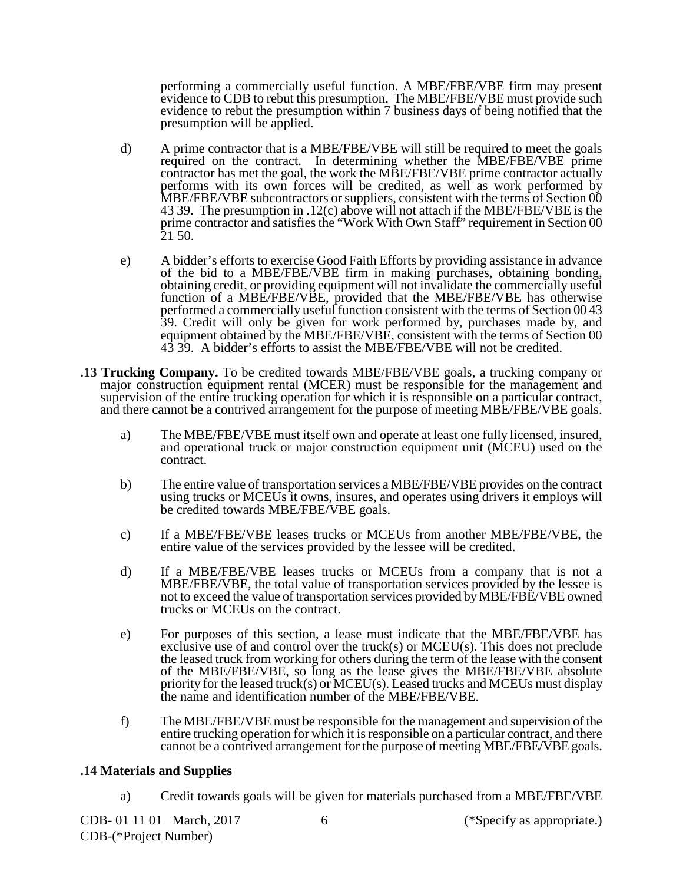performing a commercially useful function. A MBE/FBE/VBE firm may present evidence to CDB to rebut this presumption. The MBE/FBE/VBE must provide such evidence to rebut the presumption within 7 business days of being notified that the presumption will be applied.

- d) A prime contractor that is a MBE/FBE/VBE will still be required to meet the goals required on the contract. In determining whether the MBE/FBE/VBE prime contractor has met the goal, the work the MBE/FBE/VBE prime contractor actually performs with its own forces will be credited, as well as work performed by MBE/FBE/VBE subcontractors or suppliers, consistent with the terms of Section 00 43 39. The presumption in .12(c) above will not attach if the MBE/FBE/VBE is the prime contractor and satisfies the "Work With Own Staff" requirement in Section 00 21 50.
- e) A bidder's efforts to exercise Good Faith Efforts by providing assistance in advance of the bid to a MBE/FBE/VBE firm in making purchases, obtaining bonding, obtaining credit, or providing equipment will not invalidate the commercially useful function of a MBE/FBE/VBE, provided that the MBE/FBE/VBE has otherwise performed a commercially useful function consistent with the terms of Section 00 43 39. Credit will only be given for work performed by, purchases made by, and equipment obtained by the MBE/FBE/VBE, consistent with the terms of Section 00 43 39. A bidder's efforts to assist the MBE/FBE/VBE will not be credited.
- **.13 Trucking Company.** To be credited towards MBE/FBE/VBE goals, a trucking company or major construction equipment rental (MCER) must be responsible for the management and supervision of the entire trucking operation for which it is responsible on a particular contract, and there cannot be a contrived arrangement for the purpose of meeting MBE/FBE/VBE goals.
	- a) The MBE/FBE/VBE must itself own and operate at least one fully licensed, insured, and operational truck or major construction equipment unit (MCEU) used on the contract.
	- b) The entire value of transportation services a MBE/FBE/VBE provides on the contract using trucks or MCEUs it owns, insures, and operates using drivers it employs will be credited towards MBE/FBE/VBE goals.
	- c) If a MBE/FBE/VBE leases trucks or MCEUs from another MBE/FBE/VBE, the entire value of the services provided by the lessee will be credited.
	- d) If a MBE/FBE/VBE leases trucks or MCEUs from a company that is not a MBE/FBE/VBE, the total value of transportation services provided by the lessee is not to exceed the value of transportation services provided by MBE/FBE/VBE owned trucks or MCEUs on the contract.
	- e) For purposes of this section, a lease must indicate that the MBE/FBE/VBE has exclusive use of and control over the truck(s) or  $MCEU(s)$ . This does not preclude the leased truck from working for others during the term of the lease with the consent of the MBE/FBE/VBE, so long as the lease gives the MBE/FBE/VBE absolute priority for the leased truck(s) or MCEU(s). Leased trucks and MCEUs must display the name and identification number of the MBE/FBE/VBE.
	- f) The MBE/FBE/VBE must be responsible for the management and supervision of the entire trucking operation for which it is responsible on a particular contract, and there cannot be a contrived arrangement for the purpose of meeting MBE/FBE/VBE goals.

### **.14 Materials and Supplies**

a) Credit towards goals will be given for materials purchased from a MBE/FBE/VBE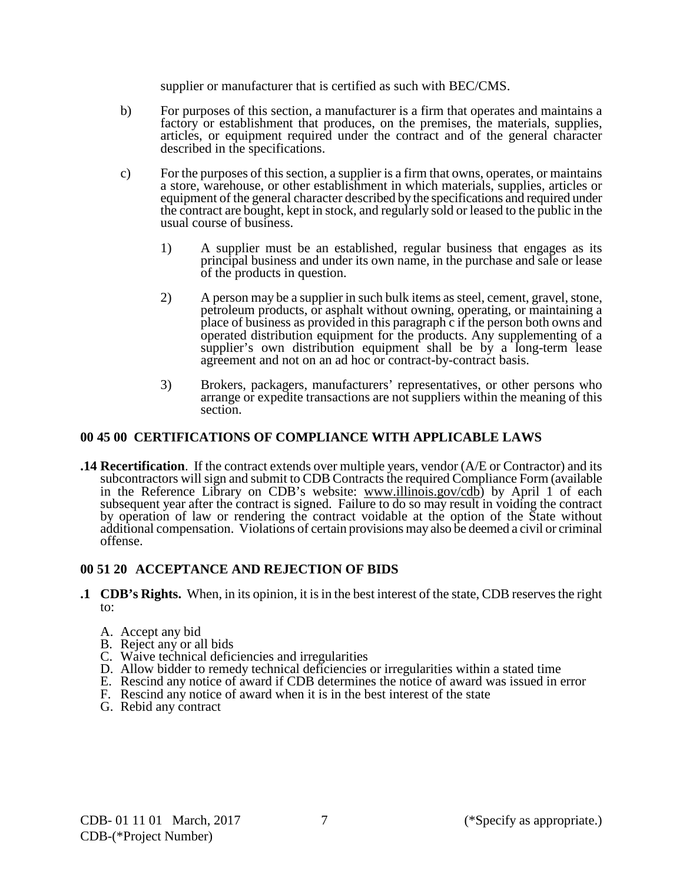supplier or manufacturer that is certified as such with BEC/CMS.

- b) For purposes of this section, a manufacturer is a firm that operates and maintains a factory or establishment that produces, on the premises, the materials, supplies, articles, or equipment required under the contract and of the general character described in the specifications.
- c) For the purposes of this section, a supplier is a firm that owns, operates, or maintains a store, warehouse, or other establishment in which materials, supplies, articles or equipment of the general character described by the specifications and required under the contract are bought, kept in stock, and regularly sold or leased to the public in the usual course of business.
	- 1) A supplier must be an established, regular business that engages as its principal business and under its own name, in the purchase and sale or lease of the products in question.
	- 2) A person may be a supplier in such bulk items as steel, cement, gravel, stone, petroleum products, or asphalt without owning, operating, or maintaining a place of business as provided in this paragraph c if the person both owns and operated distribution equipment for the products. Any supplementing of a supplier's own distribution equipment shall be by a long-term lease agreement and not on an ad hoc or contract-by-contract basis.
	- 3) Brokers, packagers, manufacturers' representatives, or other persons who arrange or expedite transactions are not suppliers within the meaning of this section.

## **00 45 00 CERTIFICATIONS OF COMPLIANCE WITH APPLICABLE LAWS**

**.14 Recertification**. If the contract extends over multiple years, vendor (A/E or Contractor) and its subcontractors will sign and submit to CDB Contracts the required Compliance Form (available in the Reference Library on CDB's website: [www.illinois.gov/cdb\)](http://www.illinois.gov/cdb) by April 1 of each subsequent year after the contract is signed. Failure to do so may result in voiding the contract by operation of law or rendering the contract voidable at the option of the State without additional compensation. Violations of certain provisions may also be deemed a civil or criminal offense.

# **00 51 20 ACCEPTANCE AND REJECTION OF BIDS**

- **.1 CDB's Rights.** When, in its opinion, it is in the best interest of the state, CDB reserves the right to:
	- A. Accept any bid
	- B. Reject any or all bids
	- C. Waive technical deficiencies and irregularities
	- D. Allow bidder to remedy technical deficiencies or irregularities within a stated time
	- E. Rescind any notice of award if CDB determines the notice of award was issued in error
	- F. Rescind any notice of award when it is in the best interest of the state
	- G. Rebid any contract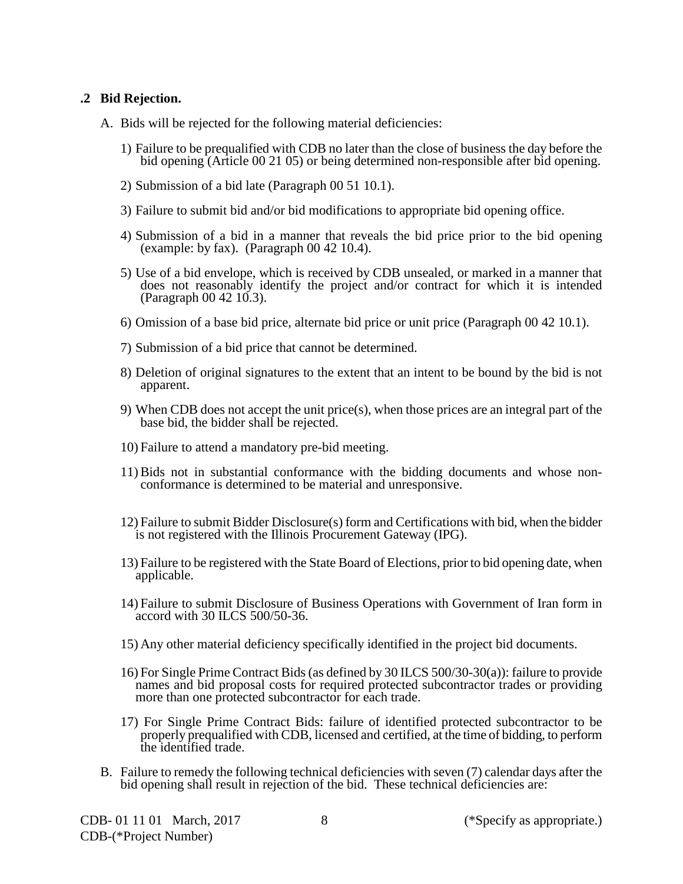### **.2 Bid Rejection.**

- A. Bids will be rejected for the following material deficiencies:
	- 1) Failure to be prequalified with CDB no later than the close of business the day before the bid opening (Article 00 21 05) or being determined non-responsible after bid opening.
	- 2) Submission of a bid late (Paragraph 00 51 10.1).
	- 3) Failure to submit bid and/or bid modifications to appropriate bid opening office.
	- 4) Submission of a bid in a manner that reveals the bid price prior to the bid opening (example: by fax). (Paragraph 00 42 10.4).
	- 5) Use of a bid envelope, which is received by CDB unsealed, or marked in a manner that does not reasonably identify the project and/or contract for which it is intended (Paragraph 00 42 10.3).
	- 6) Omission of a base bid price, alternate bid price or unit price (Paragraph 00 42 10.1).
	- 7) Submission of a bid price that cannot be determined.
	- 8) Deletion of original signatures to the extent that an intent to be bound by the bid is not apparent.
	- 9) When CDB does not accept the unit price(s), when those prices are an integral part of the base bid, the bidder shall be rejected.
	- 10) Failure to attend a mandatory pre-bid meeting.
	- 11) Bids not in substantial conformance with the bidding documents and whose non- conformance is determined to be material and unresponsive.
	- 12) Failure to submit Bidder Disclosure(s) form and Certifications with bid, when the bidder is not registered with the Illinois Procurement Gateway (IPG).
	- 13) Failure to be registered with the State Board of Elections, prior to bid opening date, when applicable.
	- 14) Failure to submit Disclosure of Business Operations with Government of Iran form in accord with 30 ILCS 500/50-36.
	- 15) Any other material deficiency specifically identified in the project bid documents.
	- 16) For Single Prime Contract Bids (as defined by 30 ILCS 500/30-30(a)): failure to provide names and bid proposal costs for required protected subcontractor trades or providing more than one protected subcontractor for each trade.
	- 17) For Single Prime Contract Bids: failure of identified protected subcontractor to be properly prequalified with CDB, licensed and certified, at the time of bidding, to perform the identified trade.
- B. Failure to remedy the following technical deficiencies with seven (7) calendar days after the bid opening shall result in rejection of the bid. These technical deficiencies are: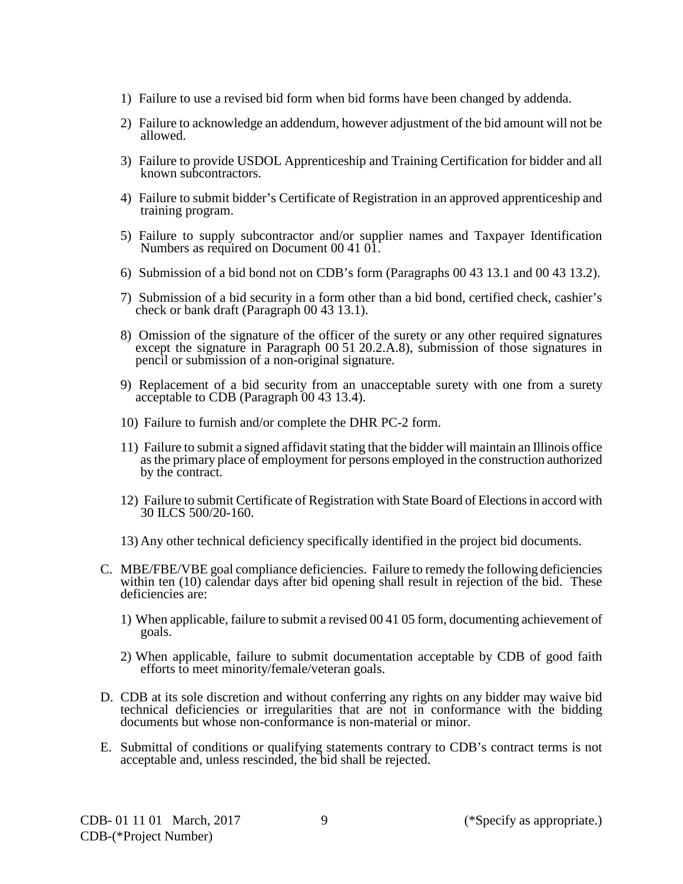- 1) Failure to use a revised bid form when bid forms have been changed by addenda.
- 2) Failure to acknowledge an addendum, however adjustment of the bid amount will not be allowed.
- 3) Failure to provide USDOL Apprenticeship and Training Certification for bidder and all known subcontractors.
- 4) Failure to submit bidder's Certificate of Registration in an approved apprenticeship and training program.
- 5) Failure to supply subcontractor and/or supplier names and Taxpayer Identification Numbers as required on Document 00 41 01.
- 6) Submission of a bid bond not on CDB's form (Paragraphs 00 43 13.1 and 00 43 13.2).
- 7) Submission of a bid security in a form other than a bid bond, certified check, cashier's check or bank draft (Paragraph 00 43 13.1).
- 8) Omission of the signature of the officer of the surety or any other required signatures except the signature in Paragraph 00 51 20.2.A.8), submission of those signatures in pencil or submission of a non-original signature.
- 9) Replacement of a bid security from an unacceptable surety with one from a surety acceptable to CDB (Paragraph 00 43 13.4).
- 10) Failure to furnish and/or complete the DHR PC-2 form.
- 11) Failure to submit a signed affidavit stating that the bidder will maintain an Illinois office as the primary place of employment for persons employed in the construction authorized by the contract.
- 12) Failure to submit Certificate of Registration with State Board of Elections in accord with 30 ILCS 500/20-160.
- 13) Any other technical deficiency specifically identified in the project bid documents.
- C. MBE/FBE/VBE goal compliance deficiencies. Failure to remedy the following deficiencies within ten (10) calendar days after bid opening shall result in rejection of the bid. These deficiencies are:
	- 1) When applicable, failure to submit a revised 00 41 05 form, documenting achievement of goals.
	- 2) When applicable, failure to submit documentation acceptable by CDB of good faith efforts to meet minority/female/veteran goals.
- D. CDB at its sole discretion and without conferring any rights on any bidder may waive bid technical deficiencies or irregularities that are not in conformance with the bidding documents but whose non-conformance is non-material or minor.
- E. Submittal of conditions or qualifying statements contrary to CDB's contract terms is not acceptable and, unless rescinded, the bid shall be rejected.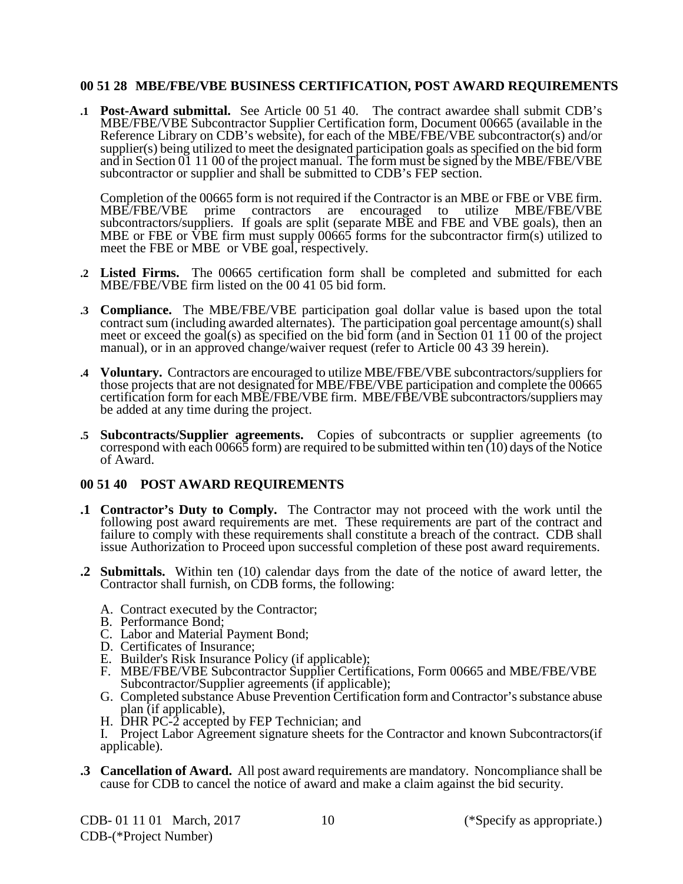#### **00 51 28 MBE/FBE/VBE BUSINESS CERTIFICATION, POST AWARD REQUIREMENTS**

**.1 Post-Award submittal.** See Article 00 51 40. The contract awardee shall submit CDB's MBE/FBE/VBE Subcontractor Supplier Certification form, Document 00665 (available in the Reference Library on CDB's website), for each of the MBE/FBE/VBE subcontractor(s) and/or supplier(s) being utilized to meet the designated participation goals as specified on the bid form and in Section  $\overline{01}$  11 00 of the project manual. The form must be signed by the MBE/FBE/VBE subcontractor or supplier and shall be submitted to CDB's FEP section.

Completion of the 00665 form is not required if the Contractor is an MBE or FBE or VBE firm.<br>
MBE/FBE/VBE prime contractors are encouraged to utilize MBE/FBE/VBE prime contractors are encouraged to utilize MBE/FBE/VBE subcontractors/suppliers. If goals are split (separate MBE and FBE and VBE goals), then an MBE or FBE or VBE firm must supply 00665 forms for the subcontractor firm(s) utilized to meet the FBE or MBE or VBE goal, respectively.

- **.2 Listed Firms.** The 00665 certification form shall be completed and submitted for each MBE/FBE/VBE firm listed on the 00 41 05 bid form.
- **.3 Compliance.** The MBE/FBE/VBE participation goal dollar value is based upon the total contract sum (including awarded alternates). The participation goal percentage amount(s) shall meet or exceed the goal(s) as specified on the bid form (and in Section 01 11 00 of the project manual), or in an approved change/waiver request (refer to Article 00 43 39 herein).
- **.4 Voluntary.** Contractors are encouraged to utilize MBE/FBE/VBE subcontractors/suppliers for those projects that are not designated for MBE/FBE/VBE participation and complete the 00665 certification form for each MBE/FBE/VBE firm. MBE/FBE/VBE subcontractors/suppliers may be added at any time during the project.
- **.5 Subcontracts/Supplier agreements.** Copies of subcontracts or supplier agreements (to correspond with each 00665 form) are required to be submitted within ten  $(10)$  days of the Notice of Award.

### **00 51 40 POST AWARD REQUIREMENTS**

- **.1 Contractor's Duty to Comply.** The Contractor may not proceed with the work until the following post award requirements are met. These requirements are part of the contract and failure to comply with these requirements shall constitute a breach of the contract. CDB shall issue Authorization to Proceed upon successful completion of these post award requirements.
- **.2 Submittals.** Within ten (10) calendar days from the date of the notice of award letter, the Contractor shall furnish, on CDB forms, the following:
	- A. Contract executed by the Contractor;
	- B. Performance Bond;
	- C. Labor and Material Payment Bond;
	- D. Certificates of Insurance;
	- E. Builder's Risk Insurance Policy (if applicable);
	- F. MBE/FBE/VBE Subcontractor Supplier Certifications, Form 00665 and MBE/FBE/VBE Subcontractor/Supplier agreements (if applicable);
	- G. Completed substance Abuse Prevention Certification form and Contractor's substance abuse plan (if applicable),
	- H. DHR PC-2 accepted by FEP Technician; and
	- I. Project Labor Agreement signature sheets for the Contractor and known Subcontractors(if applicable).
- **.3 Cancellation of Award.** All post award requirements are mandatory. Noncompliance shall be cause for CDB to cancel the notice of award and make a claim against the bid security.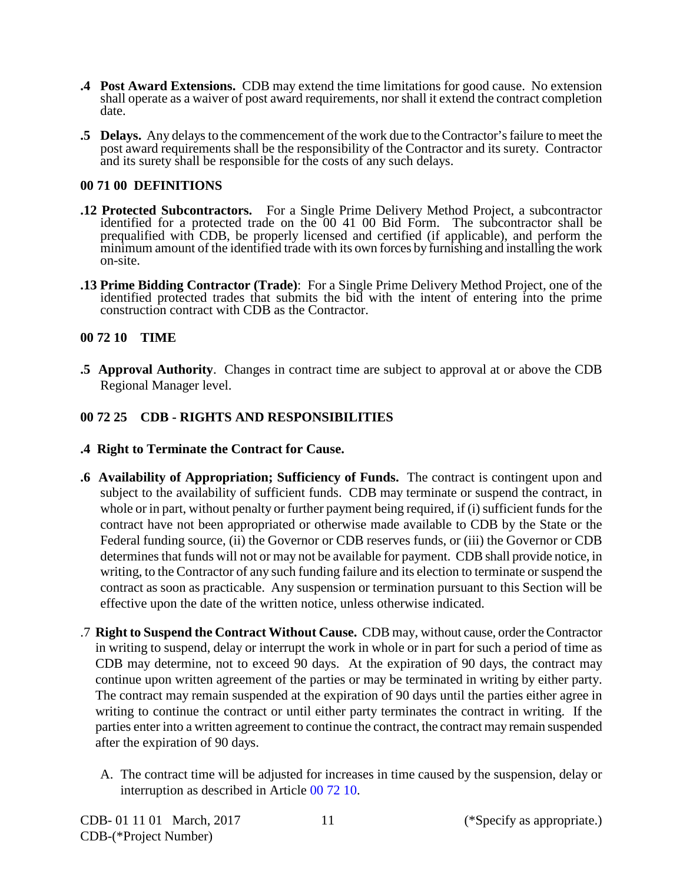- **.4 Post Award Extensions.** CDB may extend the time limitations for good cause. No extension shall operate as a waiver of post award requirements, nor shall it extend the contract completion date.
- **.5 Delays.** Any delays to the commencement of the work due to the Contractor's failure to meet the post award requirements shall be the responsibility of the Contractor and its surety. Contractor and its surety shall be responsible for the costs of any such delays.

#### **00 71 00 DEFINITIONS**

- **.12 Protected Subcontractors.** For a Single Prime Delivery Method Project, a subcontractor identified for a protected trade on the 00 41 00 Bid Form. The subcontractor shall be prequalified with CDB, be properly licensed and certified (if applicable), and perform the minimum amount of the identified trade with its own forces by furnishing and installing the work on-site.
- **.13 Prime Bidding Contractor (Trade)**: For a Single Prime Delivery Method Project, one of the identified protected trades that submits the bid with the intent of entering into the prime construction contract with CDB as the Contractor.

### **00 72 10 TIME**

**.5 Approval Authority**. Changes in contract time are subject to approval at or above the CDB Regional Manager level.

## **00 72 25 CDB - RIGHTS AND RESPONSIBILITIES**

- **.4 Right to Terminate the Contract for Cause.**
- **.6 Availability of Appropriation; Sufficiency of Funds.** The contract is contingent upon and subject to the availability of sufficient funds. CDB may terminate or suspend the contract, in whole or in part, without penalty or further payment being required, if (i) sufficient funds for the contract have not been appropriated or otherwise made available to CDB by the State or the Federal funding source, (ii) the Governor or CDB reserves funds, or (iii) the Governor or CDB determines that funds will not or may not be available for payment. CDB shall provide notice, in writing, to the Contractor of any such funding failure and its election to terminate or suspend the contract as soon as practicable. Any suspension or termination pursuant to this Section will be effective upon the date of the written notice, unless otherwise indicated.
- .7 **Right to Suspend the Contract Without Cause.** CDB may, without cause, order the Contractor in writing to suspend, delay or interrupt the work in whole or in part for such a period of time as CDB may determine, not to exceed 90 days. At the expiration of 90 days, the contract may continue upon written agreement of the parties or may be terminated in writing by either party. The contract may remain suspended at the expiration of 90 days until the parties either agree in writing to continue the contract or until either party terminates the contract in writing. If the parties enter into a written agreement to continue the contract, the contract may remain suspended after the expiration of 90 days.
	- A. The contract time will be adjusted for increases in time caused by the suspension, delay or interruption as described in Article 00 72 10.